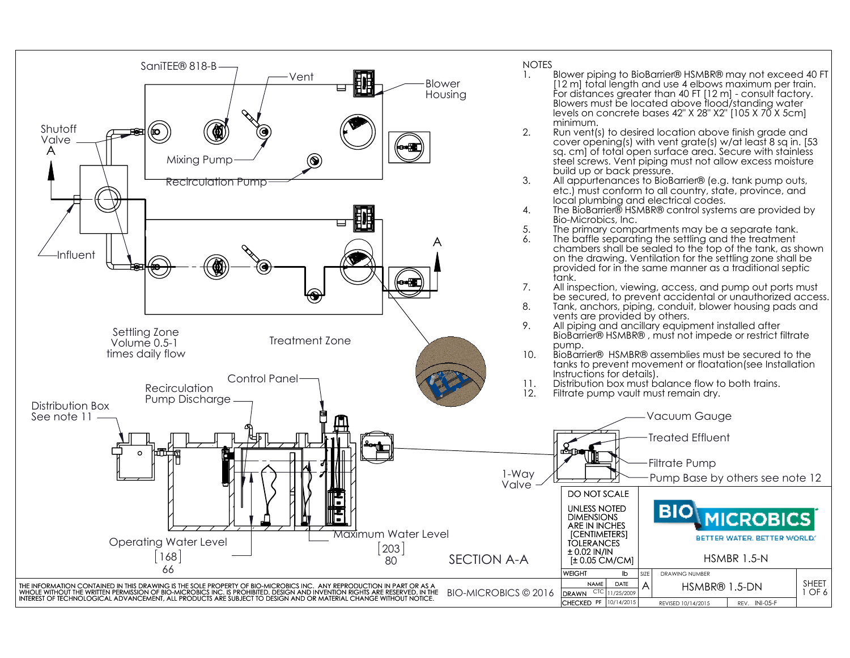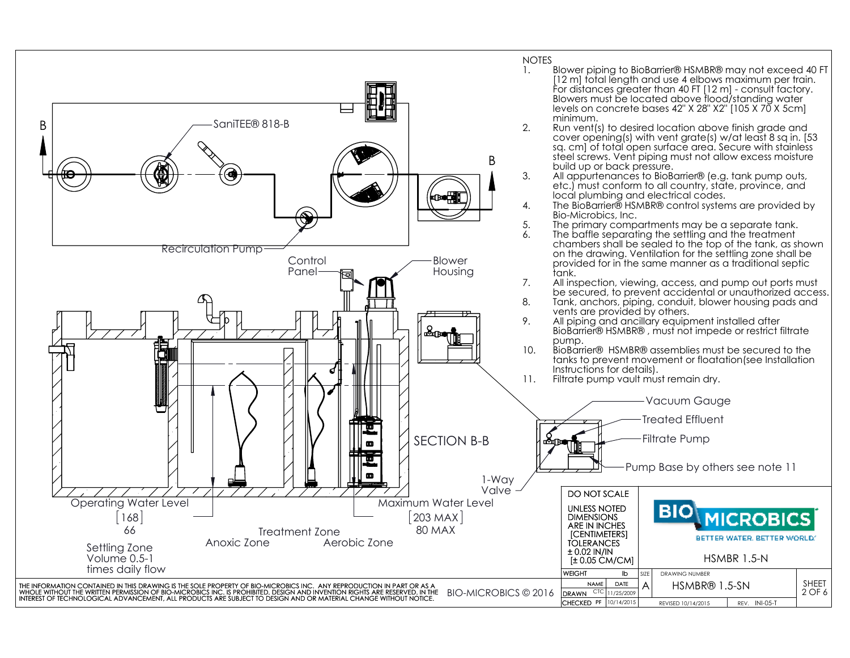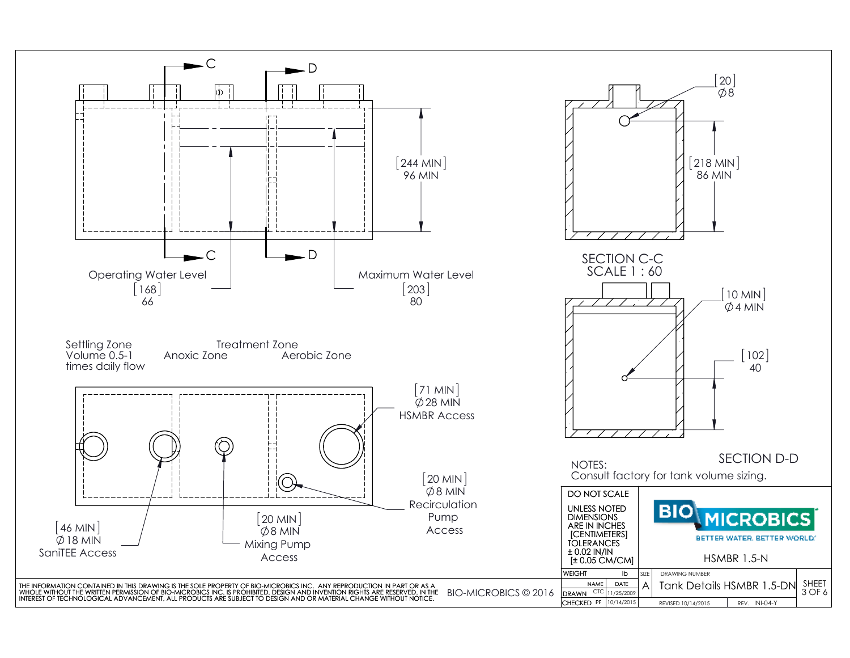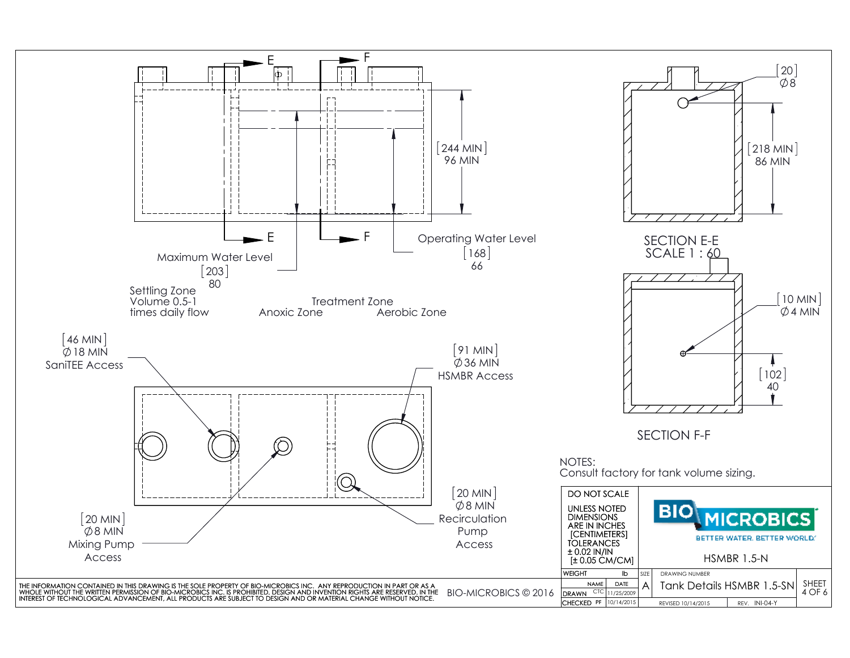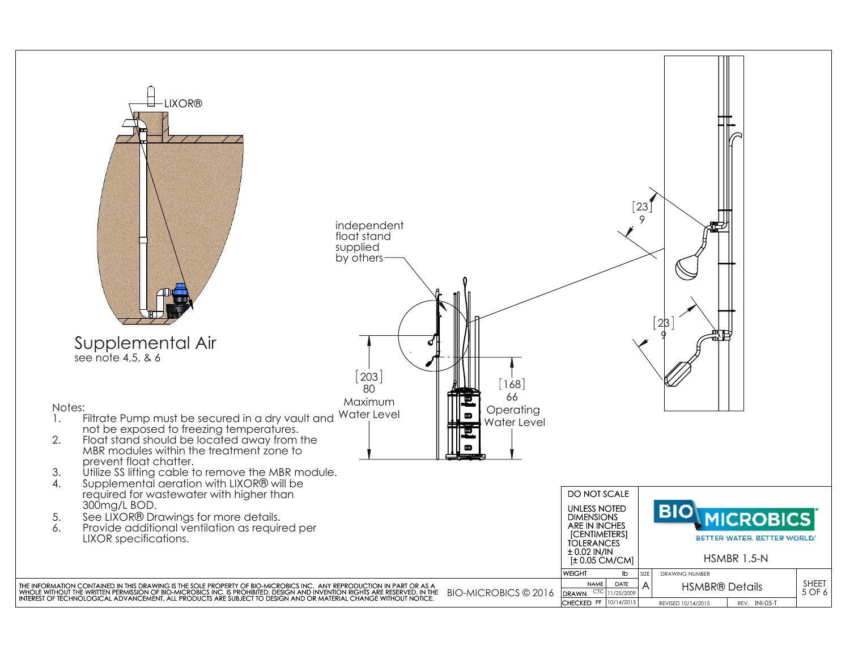